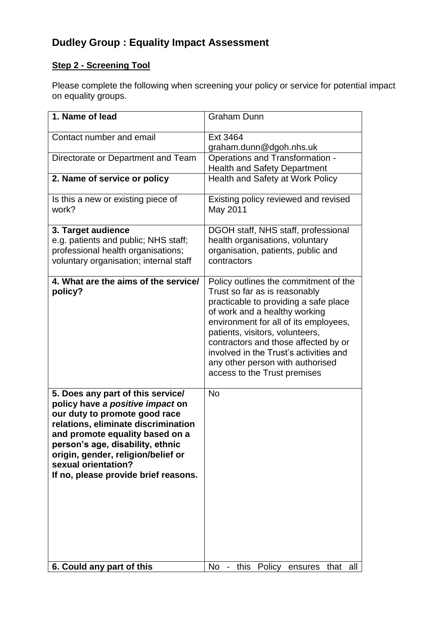## **Dudley Group : Equality Impact Assessment**

## **Step 2 - Screening Tool**

Please complete the following when screening your policy or service for potential impact on equality groups.

| 1. Name of lead                                           | <b>Graham Dunn</b>                                                             |
|-----------------------------------------------------------|--------------------------------------------------------------------------------|
| Contact number and email                                  | Ext 3464                                                                       |
|                                                           | graham.dunn@dgoh.nhs.uk                                                        |
| Directorate or Department and Team                        | Operations and Transformation -                                                |
|                                                           | <b>Health and Safety Department</b>                                            |
| 2. Name of service or policy                              | Health and Safety at Work Policy                                               |
| Is this a new or existing piece of                        | Existing policy reviewed and revised                                           |
| work?                                                     | May 2011                                                                       |
| 3. Target audience                                        | DGOH staff, NHS staff, professional                                            |
| e.g. patients and public; NHS staff;                      | health organisations, voluntary                                                |
| professional health organisations;                        | organisation, patients, public and                                             |
| voluntary organisation; internal staff                    | contractors                                                                    |
|                                                           |                                                                                |
| 4. What are the aims of the service/                      | Policy outlines the commitment of the                                          |
| policy?                                                   | Trust so far as is reasonably                                                  |
|                                                           | practicable to providing a safe place<br>of work and a healthy working         |
|                                                           | environment for all of its employees,                                          |
|                                                           | patients, visitors, volunteers,                                                |
|                                                           | contractors and those affected by or                                           |
|                                                           | involved in the Trust's activities and                                         |
|                                                           | any other person with authorised                                               |
|                                                           | access to the Trust premises                                                   |
| 5. Does any part of this service/                         | <b>No</b>                                                                      |
| policy have a positive impact on                          |                                                                                |
| our duty to promote good race                             |                                                                                |
| relations, eliminate discrimination                       |                                                                                |
| and promote equality based on a                           |                                                                                |
| person's age, disability, ethnic                          |                                                                                |
| origin, gender, religion/belief or<br>sexual orientation? |                                                                                |
| If no, please provide brief reasons.                      |                                                                                |
|                                                           |                                                                                |
|                                                           |                                                                                |
|                                                           |                                                                                |
|                                                           |                                                                                |
|                                                           |                                                                                |
|                                                           |                                                                                |
|                                                           |                                                                                |
| 6. Could any part of this                                 | <b>No</b><br>this<br>Policy ensures<br>$\overline{\phantom{a}}$<br>that<br>all |